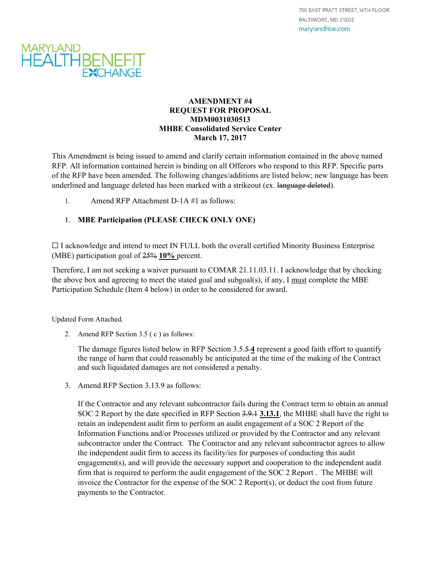

## **AMENDMENT #4 REQUEST FOR PROPOSAL MDM0031030513 MHBE Consolidated Service Center March 17, 2017**

This Amendment is being issued to amend and clarify certain information contained in the above named RFP. All information contained herein is binding on all Offerors who respond to this RFP. Specific parts of the RFP have been amended. The following changes/additions are listed below; new language has been underlined and language deleted has been marked with a strikeout (ex. language deleted).

1. Amend RFP Attachment D-1A #1 as follows:

# 1. **MBE Participation (PLEASE CHECK ONLY ONE)**

☐ I acknowledge and intend to meet IN FULL both the overall certified Minority Business Enterprise (MBE) participation goal of 25% **10%** percent.

Therefore, I am not seeking a waiver pursuant to COMAR 21.11.03.11. I acknowledge that by checking the above box and agreeing to meet the stated goal and subgoal(s), if any, I must complete the MBE Participation Schedule (Item 4 below) in order to be considered for award.

Updated Form Attached.

2. Amend RFP Section 3.5 ( c ) as follows:

The damage figures listed below in RFP Section 3.5.5 **4** represent a good faith effort to quantify the range of harm that could reasonably be anticipated at the time of the making of the Contract and such liquidated damages are not considered a penalty.

3. Amend RFP Section 3.13.9 as follows:

If the Contractor and any relevant subcontractor fails during the Contract term to obtain an annual SOC 2 Report by the date specified in RFP Section 3.9.1 **3.13.1**, the MHBE shall have the right to retain an independent audit firm to perform an audit engagement of a SOC 2 Report of the Information Functions and/or Processes utilized or provided by the Contractor and any relevant subcontractor under the Contract. The Contractor and any relevant subcontractor agrees to allow the independent audit firm to access its facility/ies for purposes of conducting this audit engagement(s), and will provide the necessary support and cooperation to the independent audit firm that is required to perform the audit engagement of the SOC 2 Report . The MHBE will invoice the Contractor for the expense of the SOC 2 Report(s), or deduct the cost from future payments to the Contractor.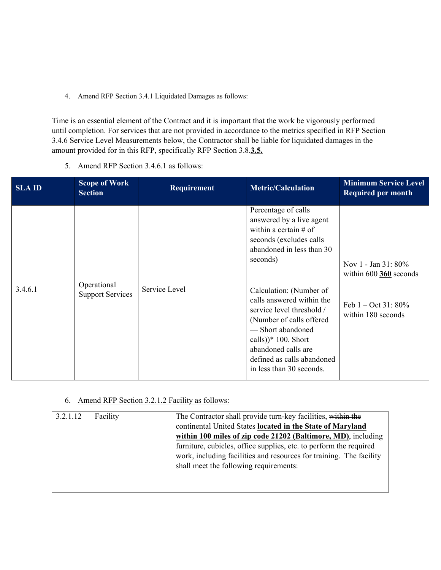4. Amend RFP Section 3.4.1 Liquidated Damages as follows:

Time is an essential element of the Contract and it is important that the work be vigorously performed until completion. For services that are not provided in accordance to the metrics specified in RFP Section 3.4.6 Service Level Measurements below, the Contractor shall be liable for liquidated damages in the amount provided for in this RFP, specifically RFP Section 3.8.**3.5.** 

5. Amend RFP Section 3.4.6.1 as follows:

| <b>SLAID</b> | <b>Scope of Work</b><br><b>Section</b> | Requirement   | <b>Metric/Calculation</b>                                                                                                                                                                                                                                                                                                                                                                      | <b>Minimum Service Level</b><br><b>Required per month</b>                                               |
|--------------|----------------------------------------|---------------|------------------------------------------------------------------------------------------------------------------------------------------------------------------------------------------------------------------------------------------------------------------------------------------------------------------------------------------------------------------------------------------------|---------------------------------------------------------------------------------------------------------|
| 3.4.6.1      | Operational<br><b>Support Services</b> | Service Level | Percentage of calls<br>answered by a live agent<br>within a certain $#$ of<br>seconds (excludes calls<br>abandoned in less than 30<br>seconds)<br>Calculation: (Number of<br>calls answered within the<br>service level threshold /<br>(Number of calls offered<br>-Short abandoned<br>calls)) $*$ 100. Short<br>abandoned calls are<br>defined as calls abandoned<br>in less than 30 seconds. | Nov 1 - Jan 31: 80%<br>within $600$ 360 seconds<br>Feb $1 - \text{Oct } 31: 80\%$<br>within 180 seconds |

# 6. Amend RFP Section 3.2.1.2 Facility as follows:

| 3.2.1.12 | Facility | The Contractor shall provide turn-key facilities, within the<br>continental United States located in the State of Maryland |  |
|----------|----------|----------------------------------------------------------------------------------------------------------------------------|--|
|          |          | within 100 miles of zip code 21202 (Baltimore, MD), including                                                              |  |
|          |          | furniture, cubicles, office supplies, etc. to perform the required                                                         |  |
|          |          | work, including facilities and resources for training. The facility<br>shall meet the following requirements:              |  |
|          |          |                                                                                                                            |  |
|          |          |                                                                                                                            |  |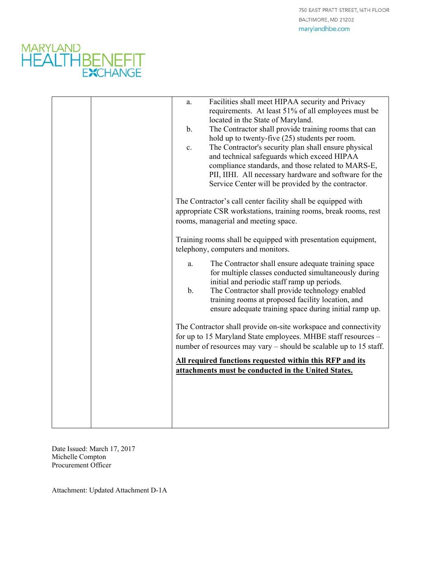750 EAST PRATT STREET, 16TH FLOOR BALTIMORE, MD 21202 marylandhbe.com



| Facilities shall meet HIPAA security and Privacy<br>a.<br>requirements. At least 51% of all employees must be<br>located in the State of Maryland.<br>The Contractor shall provide training rooms that can<br>b.<br>hold up to twenty-five (25) students per room.<br>The Contractor's security plan shall ensure physical<br>c.<br>and technical safeguards which exceed HIPAA<br>compliance standards, and those related to MARS-E,<br>PII, IIHI. All necessary hardware and software for the<br>Service Center will be provided by the contractor.<br>The Contractor's call center facility shall be equipped with<br>appropriate CSR workstations, training rooms, break rooms, rest |
|------------------------------------------------------------------------------------------------------------------------------------------------------------------------------------------------------------------------------------------------------------------------------------------------------------------------------------------------------------------------------------------------------------------------------------------------------------------------------------------------------------------------------------------------------------------------------------------------------------------------------------------------------------------------------------------|
| rooms, managerial and meeting space.<br>Training rooms shall be equipped with presentation equipment,<br>telephony, computers and monitors.<br>The Contractor shall ensure adequate training space<br>a.<br>for multiple classes conducted simultaneously during<br>initial and periodic staff ramp up periods.<br>$\mathbf b$ .<br>The Contractor shall provide technology enabled<br>training rooms at proposed facility location, and<br>ensure adequate training space during initial ramp up.                                                                                                                                                                                       |
| The Contractor shall provide on-site workspace and connectivity<br>for up to 15 Maryland State employees. MHBE staff resources -<br>number of resources may vary - should be scalable up to 15 staff.<br>All required functions requested within this RFP and its<br>attachments must be conducted in the United States.                                                                                                                                                                                                                                                                                                                                                                 |

Date Issued: March 17, 2017 Michelle Compton Procurement Officer

Attachment: Updated Attachment D-1A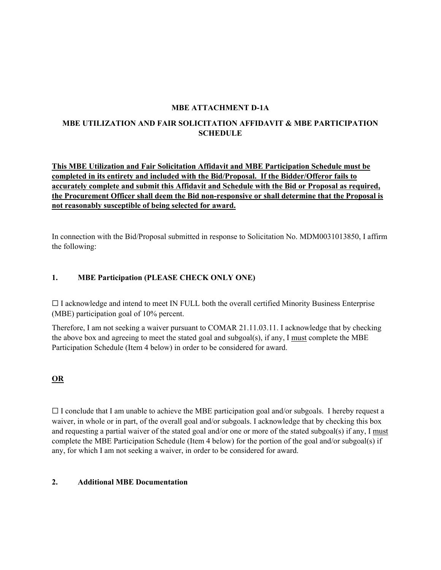### **MBE ATTACHMENT D-1A**

# **MBE UTILIZATION AND FAIR SOLICITATION AFFIDAVIT & MBE PARTICIPATION SCHEDULE**

**This MBE Utilization and Fair Solicitation Affidavit and MBE Participation Schedule must be completed in its entirety and included with the Bid/Proposal. If the Bidder/Offeror fails to accurately complete and submit this Affidavit and Schedule with the Bid or Proposal as required, the Procurement Officer shall deem the Bid non-responsive or shall determine that the Proposal is not reasonably susceptible of being selected for award.**

In connection with the Bid/Proposal submitted in response to Solicitation No. MDM0031013850, I affirm the following:

## **1. MBE Participation (PLEASE CHECK ONLY ONE)**

 $\Box$  I acknowledge and intend to meet IN FULL both the overall certified Minority Business Enterprise (MBE) participation goal of 10% percent.

Therefore, I am not seeking a waiver pursuant to COMAR 21.11.03.11. I acknowledge that by checking the above box and agreeing to meet the stated goal and subgoal(s), if any, I must complete the MBE Participation Schedule (Item 4 below) in order to be considered for award.

## **OR**

 $\Box$  I conclude that I am unable to achieve the MBE participation goal and/or subgoals. I hereby request a waiver, in whole or in part, of the overall goal and/or subgoals. I acknowledge that by checking this box and requesting a partial waiver of the stated goal and/or one or more of the stated subgoal(s) if any, I must complete the MBE Participation Schedule (Item 4 below) for the portion of the goal and/or subgoal(s) if any, for which I am not seeking a waiver, in order to be considered for award.

#### **2. Additional MBE Documentation**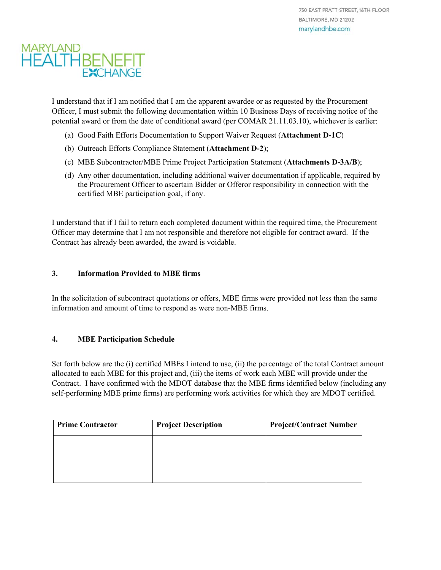# MARYLAND<br>HEALTHBENEFIT **EXCHANGE**

I understand that if I am notified that I am the apparent awardee or as requested by the Procurement Officer, I must submit the following documentation within 10 Business Days of receiving notice of the potential award or from the date of conditional award (per COMAR 21.11.03.10), whichever is earlier:

- (a) Good Faith Efforts Documentation to Support Waiver Request (**Attachment D-1C**)
- (b) Outreach Efforts Compliance Statement (**Attachment D-2**);
- (c) MBE Subcontractor/MBE Prime Project Participation Statement (**Attachments D-3A/B**);
- (d) Any other documentation, including additional waiver documentation if applicable, required by the Procurement Officer to ascertain Bidder or Offeror responsibility in connection with the certified MBE participation goal, if any.

I understand that if I fail to return each completed document within the required time, the Procurement Officer may determine that I am not responsible and therefore not eligible for contract award. If the Contract has already been awarded, the award is voidable.

# **3. Information Provided to MBE firms**

In the solicitation of subcontract quotations or offers, MBE firms were provided not less than the same information and amount of time to respond as were non-MBE firms.

## **4. MBE Participation Schedule**

Set forth below are the (i) certified MBEs I intend to use, (ii) the percentage of the total Contract amount allocated to each MBE for this project and, (iii) the items of work each MBE will provide under the Contract. I have confirmed with the MDOT database that the MBE firms identified below (including any self-performing MBE prime firms) are performing work activities for which they are MDOT certified.

| <b>Prime Contractor</b> | <b>Project Description</b> | <b>Project/Contract Number</b> |
|-------------------------|----------------------------|--------------------------------|
|                         |                            |                                |
|                         |                            |                                |
|                         |                            |                                |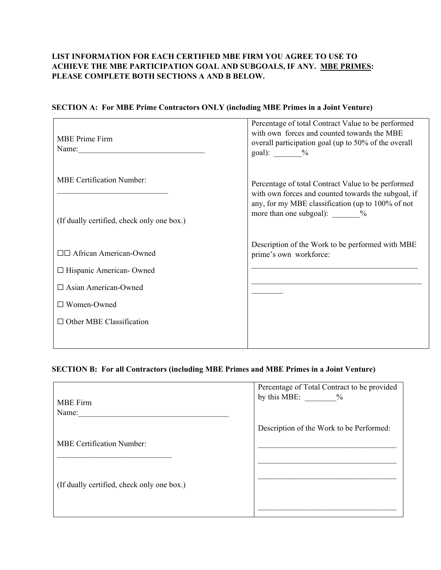# **LIST INFORMATION FOR EACH CERTIFIED MBE FIRM YOU AGREE TO USE TO ACHIEVE THE MBE PARTICIPATION GOAL AND SUBGOALS, IF ANY. MBE PRIMES: PLEASE COMPLETE BOTH SECTIONS A AND B BELOW.**

## **SECTION A: For MBE Prime Contractors ONLY (including MBE Primes in a Joint Venture)**

| <b>MBE</b> Prime Firm<br>Name:             | Percentage of total Contract Value to be performed<br>with own forces and counted towards the MBE<br>overall participation goal (up to 50% of the overall<br>goal): $\frac{9}{6}$ |  |
|--------------------------------------------|-----------------------------------------------------------------------------------------------------------------------------------------------------------------------------------|--|
| <b>MBE Certification Number:</b>           | Percentage of total Contract Value to be performed<br>with own forces and counted towards the subgoal, if                                                                         |  |
| (If dually certified, check only one box.) | any, for my MBE classification (up to 100% of not<br>more than one subgoal): $\%$                                                                                                 |  |
| □□ African American-Owned                  | Description of the Work to be performed with MBE<br>prime's own workforce:                                                                                                        |  |
| □ Hispanic American-Owned                  |                                                                                                                                                                                   |  |
| $\Box$ Asian American-Owned                |                                                                                                                                                                                   |  |
| $\Box$ Women-Owned                         |                                                                                                                                                                                   |  |
| $\Box$ Other MBE Classification            |                                                                                                                                                                                   |  |
|                                            |                                                                                                                                                                                   |  |

## **SECTION B: For all Contractors (including MBE Primes and MBE Primes in a Joint Venture)**

| by this MBE: $\%$                        |
|------------------------------------------|
| Description of the Work to be Performed: |
|                                          |
|                                          |
|                                          |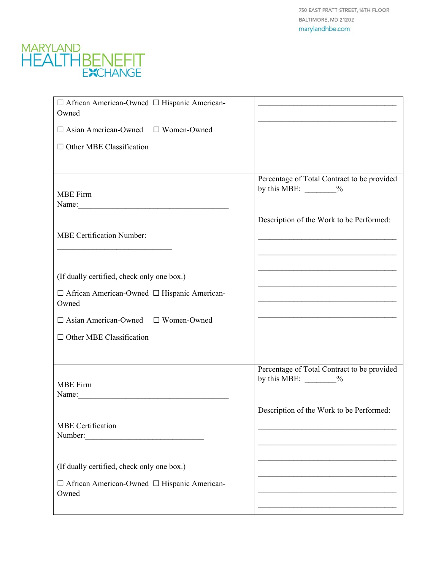750 EAST PRATT STREET, 16TH FLOOR BALTIMORE, MD 21202 marylandhbe.com



| □ African American-Owned □ Hispanic American-<br>Owned                                                                                                      |                                                                                                                      |
|-------------------------------------------------------------------------------------------------------------------------------------------------------------|----------------------------------------------------------------------------------------------------------------------|
| $\Box$ Asian American-Owned $\Box$ Women-Owned                                                                                                              |                                                                                                                      |
| $\Box$ Other MBE Classification                                                                                                                             |                                                                                                                      |
|                                                                                                                                                             |                                                                                                                      |
| <b>MBE</b> Firm                                                                                                                                             | Percentage of Total Contract to be provided<br>by this MBE: $\_\_\_\_\_$                                             |
| Name:                                                                                                                                                       |                                                                                                                      |
|                                                                                                                                                             | Description of the Work to be Performed:                                                                             |
| <b>MBE Certification Number:</b>                                                                                                                            |                                                                                                                      |
|                                                                                                                                                             |                                                                                                                      |
| (If dually certified, check only one box.)                                                                                                                  |                                                                                                                      |
| □ African American-Owned □ Hispanic American-<br>Owned                                                                                                      | <u> 2000 - Jan James James Jan James James James James James James James James James James James James James Jam</u> |
| $\Box$ Asian American-Owned $\Box$ Women-Owned                                                                                                              |                                                                                                                      |
| $\Box$ Other MBE Classification                                                                                                                             |                                                                                                                      |
|                                                                                                                                                             |                                                                                                                      |
|                                                                                                                                                             | Percentage of Total Contract to be provided                                                                          |
| <b>MBE</b> Firm                                                                                                                                             | by this MBE: $\_\_\_\_\_$                                                                                            |
|                                                                                                                                                             |                                                                                                                      |
|                                                                                                                                                             | Description of the Work to be Performed:                                                                             |
| <b>MBE</b> Certification<br>Number:<br><u> 1980 - Jan James James, martin amerikan basar dan berasal dalam basar dalam basar dalam basar dalam basar da</u> |                                                                                                                      |
|                                                                                                                                                             |                                                                                                                      |
| (If dually certified, check only one box.)                                                                                                                  |                                                                                                                      |
| □ African American-Owned □ Hispanic American-                                                                                                               |                                                                                                                      |
| Owned                                                                                                                                                       |                                                                                                                      |
|                                                                                                                                                             |                                                                                                                      |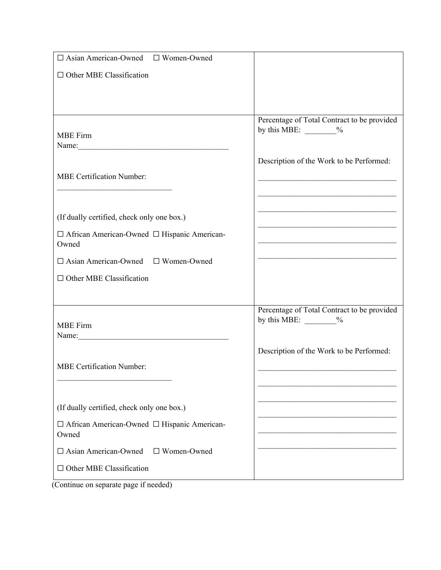| $\Box$ Asian American-Owned $\Box$ Women-Owned                                                                                                                                                                                 |                                                            |
|--------------------------------------------------------------------------------------------------------------------------------------------------------------------------------------------------------------------------------|------------------------------------------------------------|
| $\Box$ Other MBE Classification                                                                                                                                                                                                |                                                            |
|                                                                                                                                                                                                                                |                                                            |
|                                                                                                                                                                                                                                |                                                            |
|                                                                                                                                                                                                                                | Percentage of Total Contract to be provided                |
| <b>MBE</b> Firm                                                                                                                                                                                                                | by this MBE: $\frac{\ }{2}$                                |
|                                                                                                                                                                                                                                |                                                            |
|                                                                                                                                                                                                                                | Description of the Work to be Performed:                   |
| <b>MBE Certification Number:</b>                                                                                                                                                                                               |                                                            |
|                                                                                                                                                                                                                                | <u> 1980 - Johann Barbara, martxa alemaniar amerikan a</u> |
|                                                                                                                                                                                                                                |                                                            |
| (If dually certified, check only one box.)                                                                                                                                                                                     | <u> 1989 - Johann Barbara, martxa alemaniar a</u>          |
| □ African American-Owned □ Hispanic American-                                                                                                                                                                                  |                                                            |
| Owned                                                                                                                                                                                                                          |                                                            |
| □ Asian American-Owned □ Women-Owned                                                                                                                                                                                           |                                                            |
| $\Box$ Other MBE Classification                                                                                                                                                                                                |                                                            |
|                                                                                                                                                                                                                                |                                                            |
|                                                                                                                                                                                                                                | Percentage of Total Contract to be provided                |
| <b>MBE</b> Firm                                                                                                                                                                                                                | by this MBE: $\_\_\_\_$                                    |
| Name: Name and the same state of the state of the state of the state of the state of the state of the state of the state of the state of the state of the state of the state of the state of the state of the state of the sta |                                                            |
|                                                                                                                                                                                                                                | Description of the Work to be Performed:                   |
| <b>MBE Certification Number:</b>                                                                                                                                                                                               |                                                            |
|                                                                                                                                                                                                                                |                                                            |
|                                                                                                                                                                                                                                |                                                            |
| (If dually certified, check only one box.)                                                                                                                                                                                     |                                                            |
| □ African American-Owned □ Hispanic American-<br>Owned                                                                                                                                                                         |                                                            |
| $\Box$ Asian American-Owned $\Box$ Women-Owned                                                                                                                                                                                 |                                                            |
| $\Box$ Other MBE Classification                                                                                                                                                                                                |                                                            |
| $m$ and $m$ and $f$ model                                                                                                                                                                                                      |                                                            |

(Continue on separate page if needed)